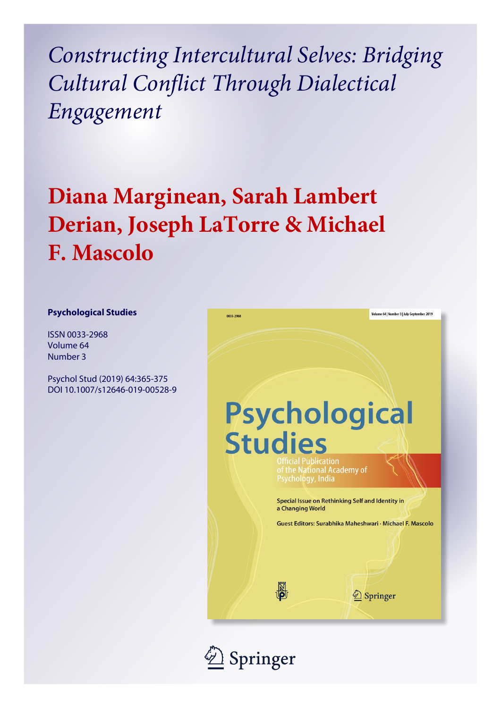*Constructing Intercultural Selves: Bridging Cultural Conflict Through Dialectical Engagement*

# **Diana Marginean, Sarah Lambert Derian, Joseph LaTorre & Michael F. Mascolo**

# **Psychological Studies**

ISSN 0033-2968 Volume 64 Number 3

Psychol Stud (2019) 64:365-375 DOI 10.1007/s12646-019-00528-9



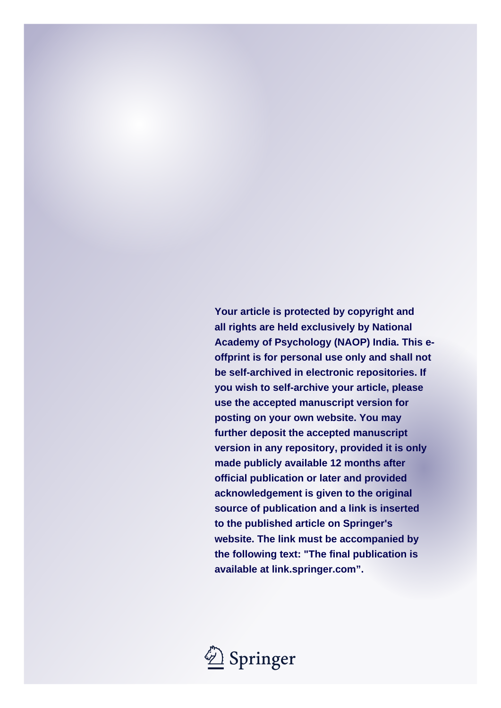**Your article is protected by copyright and all rights are held exclusively by National Academy of Psychology (NAOP) India. This eoffprint is for personal use only and shall not be self-archived in electronic repositories. If you wish to self-archive your article, please use the accepted manuscript version for posting on your own website. You may further deposit the accepted manuscript version in any repository, provided it is only made publicly available 12 months after official publication or later and provided acknowledgement is given to the original source of publication and a link is inserted to the published article on Springer's website. The link must be accompanied by the following text: "The final publication is available at link.springer.com".**

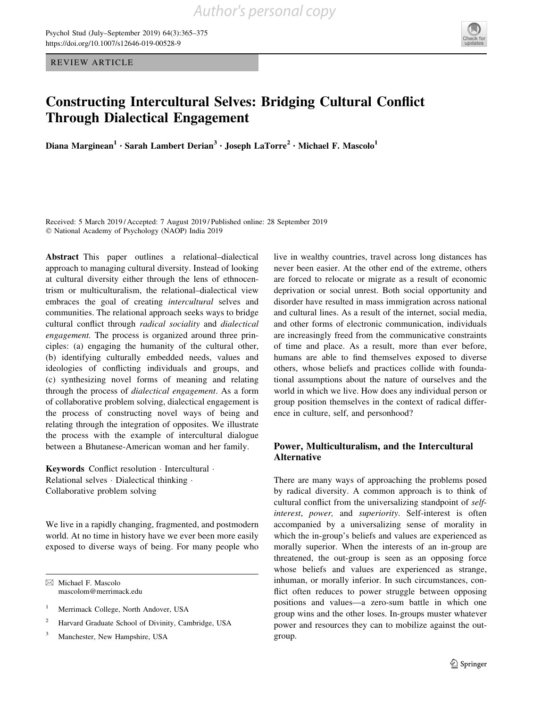REVIEW ARTICLE



# Constructing Intercultural Selves: Bridging Cultural Conflict Through Dialectical Engagement

Diana Marginean<sup>1</sup> • Sarah Lambert Derian<sup>3</sup> • Joseph LaTorre<sup>2</sup> • Michael F. Mascolo<sup>1</sup>

Received: 5 March 2019 / Accepted: 7 August 2019 / Published online: 28 September 2019 - National Academy of Psychology (NAOP) India 2019

Abstract This paper outlines a relational–dialectical approach to managing cultural diversity. Instead of looking at cultural diversity either through the lens of ethnocentrism or multiculturalism, the relational–dialectical view embraces the goal of creating intercultural selves and communities. The relational approach seeks ways to bridge cultural conflict through radical sociality and dialectical engagement. The process is organized around three principles: (a) engaging the humanity of the cultural other, (b) identifying culturally embedded needs, values and ideologies of conflicting individuals and groups, and (c) synthesizing novel forms of meaning and relating through the process of dialectical engagement. As a form of collaborative problem solving, dialectical engagement is the process of constructing novel ways of being and relating through the integration of opposites. We illustrate the process with the example of intercultural dialogue between a Bhutanese-American woman and her family.

Keywords Conflict resolution - Intercultural - Relational selves - Dialectical thinking - Collaborative problem solving

We live in a rapidly changing, fragmented, and postmodern world. At no time in history have we ever been more easily exposed to diverse ways of being. For many people who

 $\boxtimes$  Michael F. Mascolo mascolom@merrimack.edu

- <sup>1</sup> Merrimack College, North Andover, USA
- <sup>2</sup> Harvard Graduate School of Divinity, Cambridge, USA
- <sup>3</sup> Manchester, New Hampshire, USA

live in wealthy countries, travel across long distances has never been easier. At the other end of the extreme, others are forced to relocate or migrate as a result of economic deprivation or social unrest. Both social opportunity and disorder have resulted in mass immigration across national and cultural lines. As a result of the internet, social media, and other forms of electronic communication, individuals are increasingly freed from the communicative constraints of time and place. As a result, more than ever before, humans are able to find themselves exposed to diverse others, whose beliefs and practices collide with foundational assumptions about the nature of ourselves and the world in which we live. How does any individual person or group position themselves in the context of radical difference in culture, self, and personhood?

# Power, Multiculturalism, and the Intercultural Alternative

There are many ways of approaching the problems posed by radical diversity. A common approach is to think of cultural conflict from the universalizing standpoint of selfinterest, power, and superiority. Self-interest is often accompanied by a universalizing sense of morality in which the in-group's beliefs and values are experienced as morally superior. When the interests of an in-group are threatened, the out-group is seen as an opposing force whose beliefs and values are experienced as strange, inhuman, or morally inferior. In such circumstances, conflict often reduces to power struggle between opposing positions and values—a zero-sum battle in which one group wins and the other loses. In-groups muster whatever power and resources they can to mobilize against the outgroup.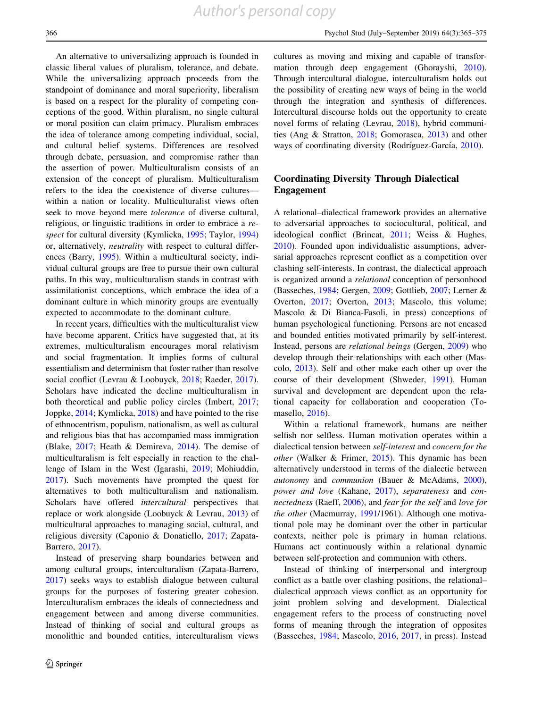An alternative to universalizing approach is founded in classic liberal values of pluralism, tolerance, and debate. While the universalizing approach proceeds from the standpoint of dominance and moral superiority, liberalism is based on a respect for the plurality of competing conceptions of the good. Within pluralism, no single cultural or moral position can claim primacy. Pluralism embraces the idea of tolerance among competing individual, social, and cultural belief systems. Differences are resolved through debate, persuasion, and compromise rather than the assertion of power. Multiculturalism consists of an extension of the concept of pluralism. Multiculturalism refers to the idea the coexistence of diverse cultures within a nation or locality. Multiculturalist views often seek to move beyond mere tolerance of diverse cultural, religious, or linguistic traditions in order to embrace a respect for cultural diversity (Kymlicka, [1995](#page-11-0); Taylor, [1994\)](#page-12-0) or, alternatively, neutrality with respect to cultural differences (Barry, [1995\)](#page-10-0). Within a multicultural society, individual cultural groups are free to pursue their own cultural paths. In this way, multiculturalism stands in contrast with assimilationist conceptions, which embrace the idea of a dominant culture in which minority groups are eventually expected to accommodate to the dominant culture.

In recent years, difficulties with the multiculturalist view have become apparent. Critics have suggested that, at its extremes, multiculturalism encourages moral relativism and social fragmentation. It implies forms of cultural essentialism and determinism that foster rather than resolve social conflict (Levrau & Loobuyck, [2018](#page-11-0); Raeder, [2017](#page-11-0)). Scholars have indicated the decline multiculturalism in both theoretical and public policy circles (Imbert, [2017](#page-11-0); Joppke, [2014](#page-11-0); Kymlicka, [2018\)](#page-11-0) and have pointed to the rise of ethnocentrism, populism, nationalism, as well as cultural and religious bias that has accompanied mass immigration (Blake, [2017](#page-11-0); Heath & Demireva, [2014](#page-11-0)). The demise of multiculturalism is felt especially in reaction to the challenge of Islam in the West (Igarashi, [2019;](#page-11-0) Mohiuddin, [2017\)](#page-11-0). Such movements have prompted the quest for alternatives to both multiculturalism and nationalism. Scholars have offered *intercultural* perspectives that replace or work alongside (Loobuyck & Levrau, [2013\)](#page-11-0) of multicultural approaches to managing social, cultural, and religious diversity (Caponio & Donatiello, [2017;](#page-11-0) Zapata-Barrero, [2017](#page-12-0)).

Instead of preserving sharp boundaries between and among cultural groups, interculturalism (Zapata-Barrero, [2017\)](#page-12-0) seeks ways to establish dialogue between cultural groups for the purposes of fostering greater cohesion. Interculturalism embraces the ideals of connectedness and engagement between and among diverse communities. Instead of thinking of social and cultural groups as monolithic and bounded entities, interculturalism views cultures as moving and mixing and capable of transformation through deep engagement (Ghorayshi, [2010](#page-11-0)). Through intercultural dialogue, interculturalism holds out the possibility of creating new ways of being in the world through the integration and synthesis of differences. Intercultural discourse holds out the opportunity to create novel forms of relating (Levrau, [2018\)](#page-11-0), hybrid communities (Ang & Stratton, [2018;](#page-10-0) Gomorasca, [2013\)](#page-11-0) and other ways of coordinating diversity (Rodríguez-García, [2010\)](#page-12-0).

# Coordinating Diversity Through Dialectical Engagement

A relational–dialectical framework provides an alternative to adversarial approaches to sociocultural, political, and ideological conflict (Brincat, [2011](#page-11-0); Weiss & Hughes, [2010](#page-12-0)). Founded upon individualistic assumptions, adversarial approaches represent conflict as a competition over clashing self-interests. In contrast, the dialectical approach is organized around a relational conception of personhood (Basseches, [1984;](#page-10-0) Gergen, [2009;](#page-11-0) Gottlieb, [2007;](#page-11-0) Lerner & Overton, [2017;](#page-11-0) Overton, [2013](#page-11-0); Mascolo, this volume; Mascolo & Di Bianca-Fasoli, in press) conceptions of human psychological functioning. Persons are not encased and bounded entities motivated primarily by self-interest. Instead, persons are relational beings (Gergen, [2009\)](#page-11-0) who develop through their relationships with each other (Mascolo, [2013\)](#page-11-0). Self and other make each other up over the course of their development (Shweder, [1991\)](#page-12-0). Human survival and development are dependent upon the relational capacity for collaboration and cooperation (Tomasello, [2016](#page-12-0)).

Within a relational framework, humans are neither selfish nor selfless. Human motivation operates within a dialectical tension between self-interest and concern for the *other* (Walker & Frimer,  $2015$ ). This dynamic has been alternatively understood in terms of the dialectic between autonomy and communion (Bauer & McAdams, [2000](#page-11-0)), power and love (Kahane, [2017](#page-11-0)), separateness and connectedness (Raeff, [2006](#page-12-0)), and fear for the self and love for the other (Macmurray, [1991](#page-11-0)/1961). Although one motivational pole may be dominant over the other in particular contexts, neither pole is primary in human relations. Humans act continuously within a relational dynamic between self-protection and communion with others.

Instead of thinking of interpersonal and intergroup conflict as a battle over clashing positions, the relational– dialectical approach views conflict as an opportunity for joint problem solving and development. Dialectical engagement refers to the process of constructing novel forms of meaning through the integration of opposites (Basseches, [1984](#page-10-0); Mascolo, [2016,](#page-11-0) [2017,](#page-11-0) in press). Instead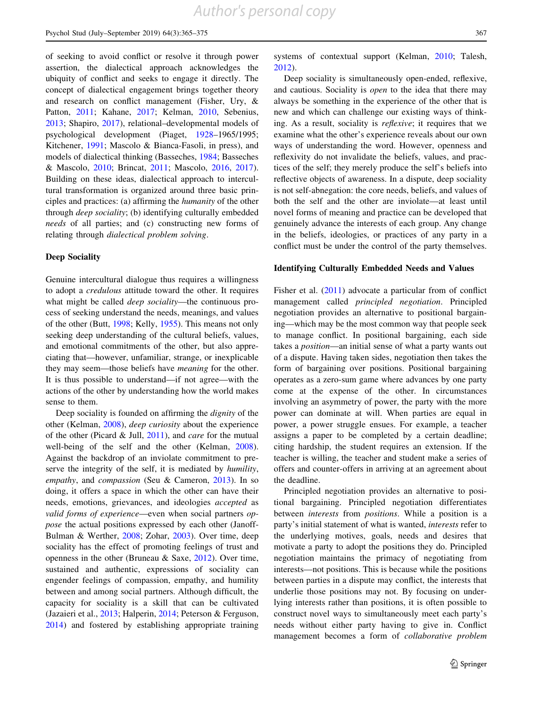of seeking to avoid conflict or resolve it through power assertion, the dialectical approach acknowledges the ubiquity of conflict and seeks to engage it directly. The concept of dialectical engagement brings together theory and research on conflict management (Fisher, Ury, & Patton, [2011](#page-11-0); Kahane, [2017;](#page-11-0) Kelman, [2010](#page-11-0), Sebenius, [2013;](#page-12-0) Shapiro, [2017](#page-12-0)), relational–developmental models of psychological development (Piaget, [1928–](#page-11-0)1965/1995; Kitchener, [1991;](#page-11-0) Mascolo & Bianca-Fasoli, in press), and models of dialectical thinking (Basseches, [1984;](#page-10-0) Basseches & Mascolo, [2010](#page-10-0); Brincat, [2011](#page-11-0); Mascolo, [2016](#page-11-0), [2017](#page-11-0)). Building on these ideas, dialectical approach to intercultural transformation is organized around three basic principles and practices: (a) affirming the humanity of the other through deep sociality; (b) identifying culturally embedded needs of all parties; and (c) constructing new forms of relating through dialectical problem solving.

#### Deep Sociality

Genuine intercultural dialogue thus requires a willingness to adopt a credulous attitude toward the other. It requires what might be called *deep sociality*—the continuous process of seeking understand the needs, meanings, and values of the other (Butt, [1998;](#page-11-0) Kelly, [1955\)](#page-11-0). This means not only seeking deep understanding of the cultural beliefs, values, and emotional commitments of the other, but also appreciating that—however, unfamiliar, strange, or inexplicable they may seem—those beliefs have meaning for the other. It is thus possible to understand—if not agree—with the actions of the other by understanding how the world makes sense to them.

Deep sociality is founded on affirming the dignity of the other (Kelman, [2008](#page-11-0)), deep curiosity about the experience of the other (Picard & Jull,  $2011$ ), and *care* for the mutual well-being of the self and the other (Kelman, [2008](#page-11-0)). Against the backdrop of an inviolate commitment to preserve the integrity of the self, it is mediated by *humility*, empathy, and compassion (Seu & Cameron, [2013](#page-12-0)). In so doing, it offers a space in which the other can have their needs, emotions, grievances, and ideologies accepted as valid forms of experience—even when social partners oppose the actual positions expressed by each other (Janoff-Bulman & Werther, [2008;](#page-11-0) Zohar, [2003](#page-12-0)). Over time, deep sociality has the effect of promoting feelings of trust and openness in the other (Bruneau & Saxe, [2012\)](#page-11-0). Over time, sustained and authentic, expressions of sociality can engender feelings of compassion, empathy, and humility between and among social partners. Although difficult, the capacity for sociality is a skill that can be cultivated (Jazaieri et al., [2013;](#page-11-0) Halperin, [2014](#page-11-0); Peterson & Ferguson, [2014\)](#page-11-0) and fostered by establishing appropriate training

systems of contextual support (Kelman, [2010](#page-11-0); Talesh, [2012](#page-12-0)).

Deep sociality is simultaneously open-ended, reflexive, and cautious. Sociality is open to the idea that there may always be something in the experience of the other that is new and which can challenge our existing ways of thinking. As a result, sociality is reflexive; it requires that we examine what the other's experience reveals about our own ways of understanding the word. However, openness and reflexivity do not invalidate the beliefs, values, and practices of the self; they merely produce the self's beliefs into reflective objects of awareness. In a dispute, deep sociality is not self-abnegation: the core needs, beliefs, and values of both the self and the other are inviolate—at least until novel forms of meaning and practice can be developed that genuinely advance the interests of each group. Any change in the beliefs, ideologies, or practices of any party in a conflict must be under the control of the party themselves.

#### Identifying Culturally Embedded Needs and Values

Fisher et al. [\(2011](#page-11-0)) advocate a particular from of conflict management called principled negotiation. Principled negotiation provides an alternative to positional bargaining—which may be the most common way that people seek to manage conflict. In positional bargaining, each side takes a position—an initial sense of what a party wants out of a dispute. Having taken sides, negotiation then takes the form of bargaining over positions. Positional bargaining operates as a zero-sum game where advances by one party come at the expense of the other. In circumstances involving an asymmetry of power, the party with the more power can dominate at will. When parties are equal in power, a power struggle ensues. For example, a teacher assigns a paper to be completed by a certain deadline; citing hardship, the student requires an extension. If the teacher is willing, the teacher and student make a series of offers and counter-offers in arriving at an agreement about the deadline.

Principled negotiation provides an alternative to positional bargaining. Principled negotiation differentiates between interests from positions. While a position is a party's initial statement of what is wanted, interests refer to the underlying motives, goals, needs and desires that motivate a party to adopt the positions they do. Principled negotiation maintains the primacy of negotiating from interests—not positions. This is because while the positions between parties in a dispute may conflict, the interests that underlie those positions may not. By focusing on underlying interests rather than positions, it is often possible to construct novel ways to simultaneously meet each party's needs without either party having to give in. Conflict management becomes a form of collaborative problem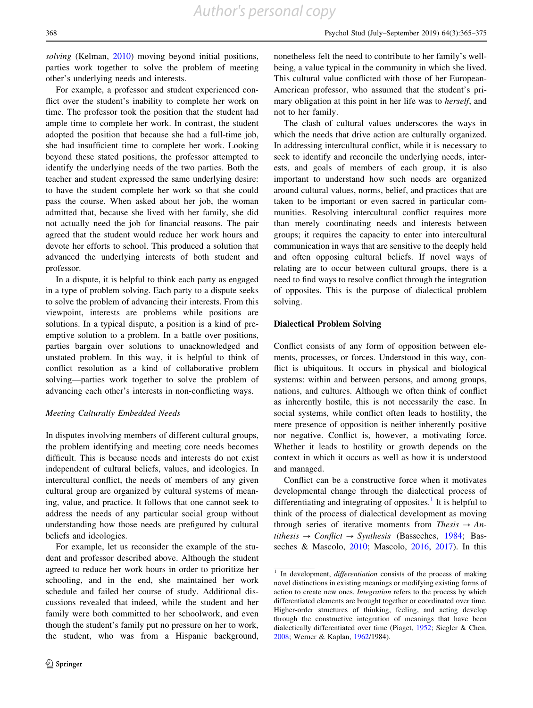solving (Kelman, [2010](#page-11-0)) moving beyond initial positions, parties work together to solve the problem of meeting other's underlying needs and interests.

For example, a professor and student experienced conflict over the student's inability to complete her work on time. The professor took the position that the student had ample time to complete her work. In contrast, the student adopted the position that because she had a full-time job, she had insufficient time to complete her work. Looking beyond these stated positions, the professor attempted to identify the underlying needs of the two parties. Both the teacher and student expressed the same underlying desire: to have the student complete her work so that she could pass the course. When asked about her job, the woman admitted that, because she lived with her family, she did not actually need the job for financial reasons. The pair agreed that the student would reduce her work hours and devote her efforts to school. This produced a solution that advanced the underlying interests of both student and professor.

In a dispute, it is helpful to think each party as engaged in a type of problem solving. Each party to a dispute seeks to solve the problem of advancing their interests. From this viewpoint, interests are problems while positions are solutions. In a typical dispute, a position is a kind of preemptive solution to a problem. In a battle over positions, parties bargain over solutions to unacknowledged and unstated problem. In this way, it is helpful to think of conflict resolution as a kind of collaborative problem solving—parties work together to solve the problem of advancing each other's interests in non-conflicting ways.

### Meeting Culturally Embedded Needs

In disputes involving members of different cultural groups, the problem identifying and meeting core needs becomes difficult. This is because needs and interests do not exist independent of cultural beliefs, values, and ideologies. In intercultural conflict, the needs of members of any given cultural group are organized by cultural systems of meaning, value, and practice. It follows that one cannot seek to address the needs of any particular social group without understanding how those needs are prefigured by cultural beliefs and ideologies.

For example, let us reconsider the example of the student and professor described above. Although the student agreed to reduce her work hours in order to prioritize her schooling, and in the end, she maintained her work schedule and failed her course of study. Additional discussions revealed that indeed, while the student and her family were both committed to her schoolwork, and even though the student's family put no pressure on her to work, the student, who was from a Hispanic background, nonetheless felt the need to contribute to her family's wellbeing, a value typical in the community in which she lived. This cultural value conflicted with those of her European-American professor, who assumed that the student's primary obligation at this point in her life was to herself, and not to her family.

The clash of cultural values underscores the ways in which the needs that drive action are culturally organized. In addressing intercultural conflict, while it is necessary to seek to identify and reconcile the underlying needs, interests, and goals of members of each group, it is also important to understand how such needs are organized around cultural values, norms, belief, and practices that are taken to be important or even sacred in particular communities. Resolving intercultural conflict requires more than merely coordinating needs and interests between groups; it requires the capacity to enter into intercultural communication in ways that are sensitive to the deeply held and often opposing cultural beliefs. If novel ways of relating are to occur between cultural groups, there is a need to find ways to resolve conflict through the integration of opposites. This is the purpose of dialectical problem solving.

#### Dialectical Problem Solving

Conflict consists of any form of opposition between elements, processes, or forces. Understood in this way, conflict is ubiquitous. It occurs in physical and biological systems: within and between persons, and among groups, nations, and cultures. Although we often think of conflict as inherently hostile, this is not necessarily the case. In social systems, while conflict often leads to hostility, the mere presence of opposition is neither inherently positive nor negative. Conflict is, however, a motivating force. Whether it leads to hostility or growth depends on the context in which it occurs as well as how it is understood and managed.

Conflict can be a constructive force when it motivates developmental change through the dialectical process of differentiating and integrating of opposites.<sup>1</sup> It is helpful to think of the process of dialectical development as moving through series of iterative moments from Thesis  $\rightarrow An$ tithesis  $\rightarrow$  Conflict  $\rightarrow$  Synthesis (Basseches, [1984;](#page-10-0) Basseches & Mascolo, [2010;](#page-10-0) Mascolo, [2016](#page-11-0), [2017](#page-11-0)). In this

 $1$  In development, *differentiation* consists of the process of making novel distinctions in existing meanings or modifying existing forms of action to create new ones. Integration refers to the process by which differentiated elements are brought together or coordinated over time. Higher-order structures of thinking, feeling, and acting develop through the constructive integration of meanings that have been dialectically differentiated over time (Piaget, [1952](#page-11-0); Siegler & Chen, [2008](#page-12-0); Werner & Kaplan, [1962](#page-12-0)/1984).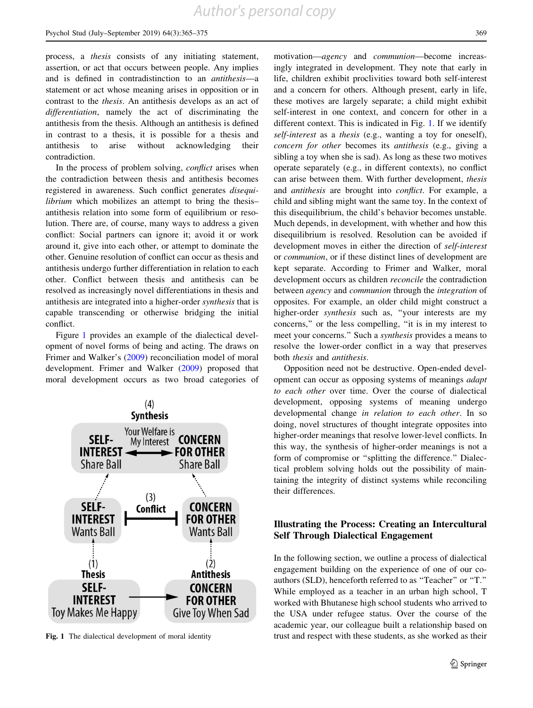process, a thesis consists of any initiating statement, assertion, or act that occurs between people. Any implies and is defined in contradistinction to an antithesis—a statement or act whose meaning arises in opposition or in contrast to the thesis. An antithesis develops as an act of differentiation, namely the act of discriminating the antithesis from the thesis. Although an antithesis is defined in contrast to a thesis, it is possible for a thesis and antithesis to arise without acknowledging their contradiction.

In the process of problem solving, *conflict* arises when the contradiction between thesis and antithesis becomes registered in awareness. Such conflict generates disequilibrium which mobilizes an attempt to bring the thesisantithesis relation into some form of equilibrium or resolution. There are, of course, many ways to address a given conflict: Social partners can ignore it; avoid it or work around it, give into each other, or attempt to dominate the other. Genuine resolution of conflict can occur as thesis and antithesis undergo further differentiation in relation to each other. Conflict between thesis and antithesis can be resolved as increasingly novel differentiations in thesis and antithesis are integrated into a higher-order synthesis that is capable transcending or otherwise bridging the initial conflict.

Figure 1 provides an example of the dialectical development of novel forms of being and acting. The draws on Frimer and Walker's ([2009\)](#page-11-0) reconciliation model of moral development. Frimer and Walker ([2009\)](#page-11-0) proposed that moral development occurs as two broad categories of



motivation—agency and communion—become increasingly integrated in development. They note that early in life, children exhibit proclivities toward both self-interest and a concern for others. Although present, early in life, these motives are largely separate; a child might exhibit self-interest in one context, and concern for other in a different context. This is indicated in Fig. 1. If we identify self-interest as a thesis (e.g., wanting a toy for oneself), concern for other becomes its antithesis (e.g., giving a sibling a toy when she is sad). As long as these two motives operate separately (e.g., in different contexts), no conflict can arise between them. With further development, thesis and antithesis are brought into conflict. For example, a child and sibling might want the same toy. In the context of this disequilibrium, the child's behavior becomes unstable. Much depends, in development, with whether and how this disequilibrium is resolved. Resolution can be avoided if development moves in either the direction of self-interest or communion, or if these distinct lines of development are kept separate. According to Frimer and Walker, moral development occurs as children reconcile the contradiction between agency and communion through the integration of opposites. For example, an older child might construct a higher-order synthesis such as, ''your interests are my concerns,'' or the less compelling, ''it is in my interest to meet your concerns.'' Such a synthesis provides a means to resolve the lower-order conflict in a way that preserves both thesis and antithesis.

Opposition need not be destructive. Open-ended development can occur as opposing systems of meanings adapt to each other over time. Over the course of dialectical development, opposing systems of meaning undergo developmental change in relation to each other. In so doing, novel structures of thought integrate opposites into higher-order meanings that resolve lower-level conflicts. In this way, the synthesis of higher-order meanings is not a form of compromise or ''splitting the difference.'' Dialectical problem solving holds out the possibility of maintaining the integrity of distinct systems while reconciling their differences.

# Illustrating the Process: Creating an Intercultural Self Through Dialectical Engagement

In the following section, we outline a process of dialectical engagement building on the experience of one of our coauthors (SLD), henceforth referred to as ''Teacher'' or ''T.'' While employed as a teacher in an urban high school, T worked with Bhutanese high school students who arrived to the USA under refugee status. Over the course of the academic year, our colleague built a relationship based on Fig. 1 The dialectical development of moral identity trust and respect with these students, as she worked as their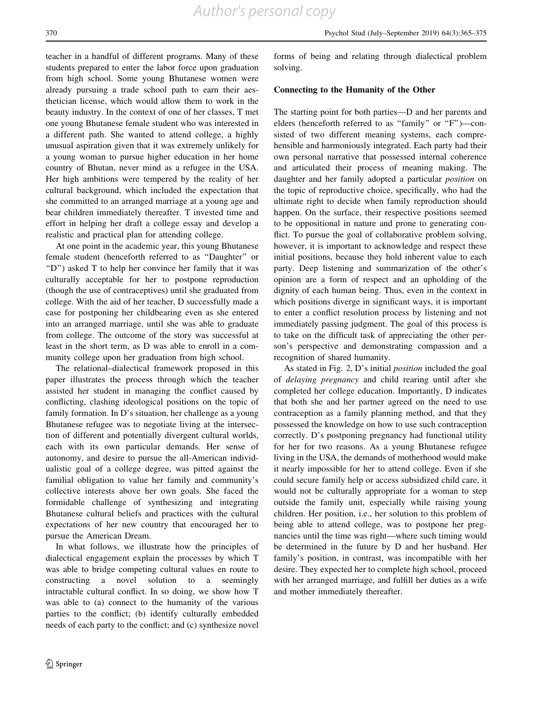teacher in a handful of different programs. Many of these students prepared to enter the labor force upon graduation from high school. Some young Bhutanese women were already pursuing a trade school path to earn their aesthetician license, which would allow them to work in the beauty industry. In the context of one of her classes, T met one young Bhutanese female student who was interested in a different path. She wanted to attend college, a highly unusual aspiration given that it was extremely unlikely for a young woman to pursue higher education in her home country of Bhutan, never mind as a refugee in the USA. Her high ambitions were tempered by the reality of her cultural background, which included the expectation that she committed to an arranged marriage at a young age and bear children immediately thereafter. T invested time and effort in helping her draft a college essay and develop a realistic and practical plan for attending college.

At one point in the academic year, this young Bhutanese female student (henceforth referred to as ''Daughter'' or "D") asked T to help her convince her family that it was culturally acceptable for her to postpone reproduction (though the use of contraceptives) until she graduated from college. With the aid of her teacher, D successfully made a case for postponing her childbearing even as she entered into an arranged marriage, until she was able to graduate from college. The outcome of the story was successful at least in the short term, as D was able to enroll in a community college upon her graduation from high school.

The relational–dialectical framework proposed in this paper illustrates the process through which the teacher assisted her student in managing the conflict caused by conflicting, clashing ideological positions on the topic of family formation. In D's situation, her challenge as a young Bhutanese refugee was to negotiate living at the intersection of different and potentially divergent cultural worlds, each with its own particular demands. Her sense of autonomy, and desire to pursue the all-American individualistic goal of a college degree, was pitted against the familial obligation to value her family and community's collective interests above her own goals. She faced the formidable challenge of synthesizing and integrating Bhutanese cultural beliefs and practices with the cultural expectations of her new country that encouraged her to pursue the American Dream.

In what follows, we illustrate how the principles of dialectical engagement explain the processes by which T was able to bridge competing cultural values en route to constructing a novel solution to a seemingly intractable cultural conflict. In so doing, we show how T was able to (a) connect to the humanity of the various parties to the conflict; (b) identify culturally embedded needs of each party to the conflict; and (c) synthesize novel forms of being and relating through dialectical problem solving.

## Connecting to the Humanity of the Other

The starting point for both parties—D and her parents and elders (henceforth referred to as ''family'' or ''F'')—consisted of two different meaning systems, each comprehensible and harmoniously integrated. Each party had their own personal narrative that possessed internal coherence and articulated their process of meaning making. The daughter and her family adopted a particular position on the topic of reproductive choice, specifically, who had the ultimate right to decide when family reproduction should happen. On the surface, their respective positions seemed to be oppositional in nature and prone to generating conflict. To pursue the goal of collaborative problem solving, however, it is important to acknowledge and respect these initial positions, because they hold inherent value to each party. Deep listening and summarization of the other's opinion are a form of respect and an upholding of the dignity of each human being. Thus, even in the context in which positions diverge in significant ways, it is important to enter a conflict resolution process by listening and not immediately passing judgment. The goal of this process is to take on the difficult task of appreciating the other person's perspective and demonstrating compassion and a recognition of shared humanity.

As stated in Fig. [2,](#page-8-0) D's initial position included the goal of delaying pregnancy and child rearing until after she completed her college education. Importantly, D indicates that both she and her partner agreed on the need to use contraception as a family planning method, and that they possessed the knowledge on how to use such contraception correctly. D's postponing pregnancy had functional utility for her for two reasons. As a young Bhutanese refugee living in the USA, the demands of motherhood would make it nearly impossible for her to attend college. Even if she could secure family help or access subsidized child care, it would not be culturally appropriate for a woman to step outside the family unit, especially while raising young children. Her position, i.e., her solution to this problem of being able to attend college, was to postpone her pregnancies until the time was right—where such timing would be determined in the future by D and her husband. Her family's position, in contrast, was incompatible with her desire. They expected her to complete high school, proceed with her arranged marriage, and fulfill her duties as a wife and mother immediately thereafter.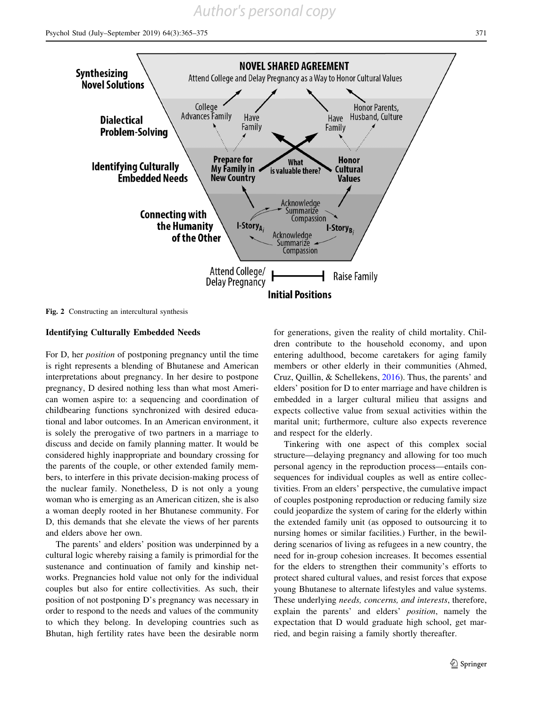# *Author's personal copy*

<span id="page-8-0"></span>

Fig. 2 Constructing an intercultural synthesis

# Identifying Culturally Embedded Needs

For D, her position of postponing pregnancy until the time is right represents a blending of Bhutanese and American interpretations about pregnancy. In her desire to postpone pregnancy, D desired nothing less than what most American women aspire to: a sequencing and coordination of childbearing functions synchronized with desired educational and labor outcomes. In an American environment, it is solely the prerogative of two partners in a marriage to discuss and decide on family planning matter. It would be considered highly inappropriate and boundary crossing for the parents of the couple, or other extended family members, to interfere in this private decision-making process of the nuclear family. Nonetheless, D is not only a young woman who is emerging as an American citizen, she is also a woman deeply rooted in her Bhutanese community. For D, this demands that she elevate the views of her parents and elders above her own.

The parents' and elders' position was underpinned by a cultural logic whereby raising a family is primordial for the sustenance and continuation of family and kinship networks. Pregnancies hold value not only for the individual couples but also for entire collectivities. As such, their position of not postponing D's pregnancy was necessary in order to respond to the needs and values of the community to which they belong. In developing countries such as Bhutan, high fertility rates have been the desirable norm for generations, given the reality of child mortality. Children contribute to the household economy, and upon entering adulthood, become caretakers for aging family members or other elderly in their communities (Ahmed, Cruz, Quillin, & Schellekens, [2016](#page-10-0)). Thus, the parents' and elders' position for D to enter marriage and have children is embedded in a larger cultural milieu that assigns and expects collective value from sexual activities within the marital unit; furthermore, culture also expects reverence and respect for the elderly.

Tinkering with one aspect of this complex social structure—delaying pregnancy and allowing for too much personal agency in the reproduction process—entails consequences for individual couples as well as entire collectivities. From an elders' perspective, the cumulative impact of couples postponing reproduction or reducing family size could jeopardize the system of caring for the elderly within the extended family unit (as opposed to outsourcing it to nursing homes or similar facilities.) Further, in the bewildering scenarios of living as refugees in a new country, the need for in-group cohesion increases. It becomes essential for the elders to strengthen their community's efforts to protect shared cultural values, and resist forces that expose young Bhutanese to alternate lifestyles and value systems. These underlying needs, concerns, and interests, therefore, explain the parents' and elders' position, namely the expectation that D would graduate high school, get married, and begin raising a family shortly thereafter.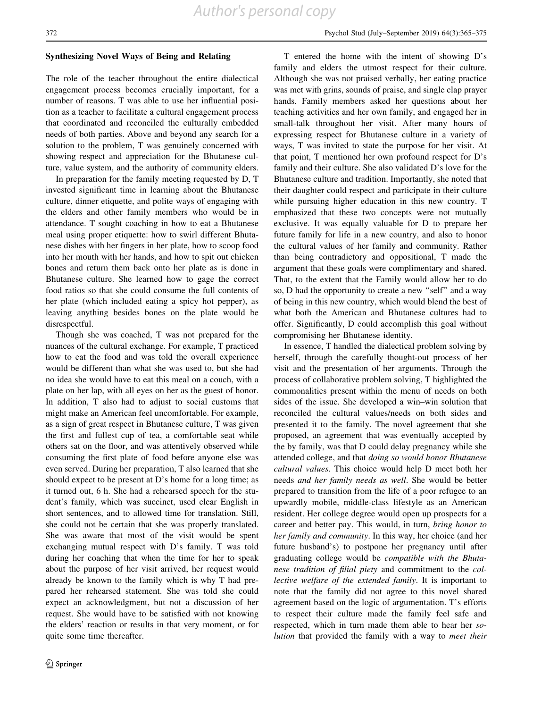## 372 Psychol Stud (July–September 2019) 64(3):365–375

# Synthesizing Novel Ways of Being and Relating

The role of the teacher throughout the entire dialectical engagement process becomes crucially important, for a number of reasons. T was able to use her influential position as a teacher to facilitate a cultural engagement process that coordinated and reconciled the culturally embedded needs of both parties. Above and beyond any search for a solution to the problem, T was genuinely concerned with showing respect and appreciation for the Bhutanese culture, value system, and the authority of community elders.

In preparation for the family meeting requested by D, T invested significant time in learning about the Bhutanese culture, dinner etiquette, and polite ways of engaging with the elders and other family members who would be in attendance. T sought coaching in how to eat a Bhutanese meal using proper etiquette: how to swirl different Bhutanese dishes with her fingers in her plate, how to scoop food into her mouth with her hands, and how to spit out chicken bones and return them back onto her plate as is done in Bhutanese culture. She learned how to gage the correct food ratios so that she could consume the full contents of her plate (which included eating a spicy hot pepper), as leaving anything besides bones on the plate would be disrespectful.

Though she was coached, T was not prepared for the nuances of the cultural exchange. For example, T practiced how to eat the food and was told the overall experience would be different than what she was used to, but she had no idea she would have to eat this meal on a couch, with a plate on her lap, with all eyes on her as the guest of honor. In addition, T also had to adjust to social customs that might make an American feel uncomfortable. For example, as a sign of great respect in Bhutanese culture, T was given the first and fullest cup of tea, a comfortable seat while others sat on the floor, and was attentively observed while consuming the first plate of food before anyone else was even served. During her preparation, T also learned that she should expect to be present at D's home for a long time; as it turned out, 6 h. She had a rehearsed speech for the student's family, which was succinct, used clear English in short sentences, and to allowed time for translation. Still, she could not be certain that she was properly translated. She was aware that most of the visit would be spent exchanging mutual respect with D's family. T was told during her coaching that when the time for her to speak about the purpose of her visit arrived, her request would already be known to the family which is why T had prepared her rehearsed statement. She was told she could expect an acknowledgment, but not a discussion of her request. She would have to be satisfied with not knowing the elders' reaction or results in that very moment, or for quite some time thereafter.

T entered the home with the intent of showing D's family and elders the utmost respect for their culture. Although she was not praised verbally, her eating practice was met with grins, sounds of praise, and single clap prayer hands. Family members asked her questions about her teaching activities and her own family, and engaged her in small-talk throughout her visit. After many hours of expressing respect for Bhutanese culture in a variety of ways, T was invited to state the purpose for her visit. At that point, T mentioned her own profound respect for D's family and their culture. She also validated D's love for the Bhutanese culture and tradition. Importantly, she noted that their daughter could respect and participate in their culture while pursuing higher education in this new country. T emphasized that these two concepts were not mutually exclusive. It was equally valuable for D to prepare her future family for life in a new country, and also to honor the cultural values of her family and community. Rather than being contradictory and oppositional, T made the argument that these goals were complimentary and shared. That, to the extent that the Family would allow her to do so, D had the opportunity to create a new ''self'' and a way of being in this new country, which would blend the best of what both the American and Bhutanese cultures had to offer. Significantly, D could accomplish this goal without compromising her Bhutanese identity.

In essence, T handled the dialectical problem solving by herself, through the carefully thought-out process of her visit and the presentation of her arguments. Through the process of collaborative problem solving, T highlighted the commonalities present within the menu of needs on both sides of the issue. She developed a win–win solution that reconciled the cultural values/needs on both sides and presented it to the family. The novel agreement that she proposed, an agreement that was eventually accepted by the by family, was that D could delay pregnancy while she attended college, and that doing so would honor Bhutanese cultural values. This choice would help D meet both her needs and her family needs as well. She would be better prepared to transition from the life of a poor refugee to an upwardly mobile, middle-class lifestyle as an American resident. Her college degree would open up prospects for a career and better pay. This would, in turn, bring honor to her family and community. In this way, her choice (and her future husband's) to postpone her pregnancy until after graduating college would be compatible with the Bhutanese tradition of filial piety and commitment to the collective welfare of the extended family. It is important to note that the family did not agree to this novel shared agreement based on the logic of argumentation. T's efforts to respect their culture made the family feel safe and respected, which in turn made them able to hear her solution that provided the family with a way to meet their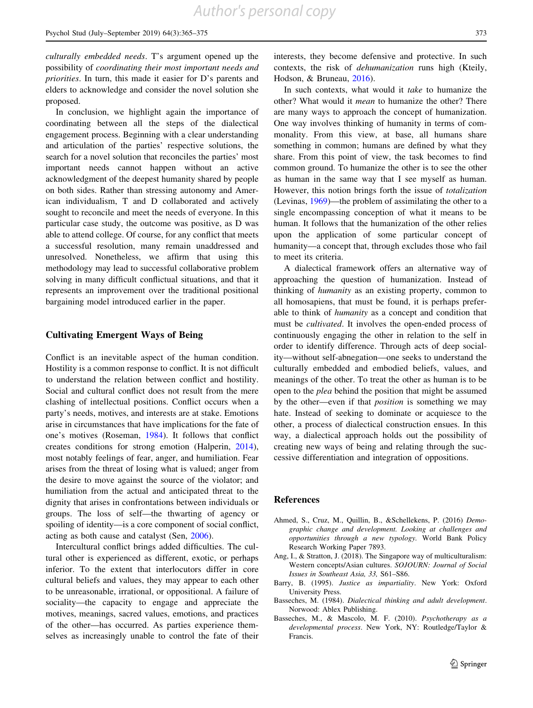<span id="page-10-0"></span>culturally embedded needs. T's argument opened up the possibility of coordinating their most important needs and priorities. In turn, this made it easier for D's parents and elders to acknowledge and consider the novel solution she proposed.

In conclusion, we highlight again the importance of coordinating between all the steps of the dialectical engagement process. Beginning with a clear understanding and articulation of the parties' respective solutions, the search for a novel solution that reconciles the parties' most important needs cannot happen without an active acknowledgment of the deepest humanity shared by people on both sides. Rather than stressing autonomy and American individualism, T and D collaborated and actively sought to reconcile and meet the needs of everyone. In this particular case study, the outcome was positive, as D was able to attend college. Of course, for any conflict that meets a successful resolution, many remain unaddressed and unresolved. Nonetheless, we affirm that using this methodology may lead to successful collaborative problem solving in many difficult conflictual situations, and that it represents an improvement over the traditional positional bargaining model introduced earlier in the paper.

# Cultivating Emergent Ways of Being

Conflict is an inevitable aspect of the human condition. Hostility is a common response to conflict. It is not difficult to understand the relation between conflict and hostility. Social and cultural conflict does not result from the mere clashing of intellectual positions. Conflict occurs when a party's needs, motives, and interests are at stake. Emotions arise in circumstances that have implications for the fate of one's motives (Roseman, [1984](#page-12-0)). It follows that conflict creates conditions for strong emotion (Halperin, [2014](#page-11-0)), most notably feelings of fear, anger, and humiliation. Fear arises from the threat of losing what is valued; anger from the desire to move against the source of the violator; and humiliation from the actual and anticipated threat to the dignity that arises in confrontations between individuals or groups. The loss of self—the thwarting of agency or spoiling of identity—is a core component of social conflict, acting as both cause and catalyst (Sen, [2006](#page-12-0)).

Intercultural conflict brings added difficulties. The cultural other is experienced as different, exotic, or perhaps inferior. To the extent that interlocutors differ in core cultural beliefs and values, they may appear to each other to be unreasonable, irrational, or oppositional. A failure of sociality—the capacity to engage and appreciate the motives, meanings, sacred values, emotions, and practices of the other—has occurred. As parties experience themselves as increasingly unable to control the fate of their interests, they become defensive and protective. In such contexts, the risk of dehumanization runs high (Kteily, Hodson, & Bruneau, [2016\)](#page-11-0).

In such contexts, what would it *take* to humanize the other? What would it mean to humanize the other? There are many ways to approach the concept of humanization. One way involves thinking of humanity in terms of commonality. From this view, at base, all humans share something in common; humans are defined by what they share. From this point of view, the task becomes to find common ground. To humanize the other is to see the other as human in the same way that I see myself as human. However, this notion brings forth the issue of totalization (Levinas, [1969](#page-11-0))—the problem of assimilating the other to a single encompassing conception of what it means to be human. It follows that the humanization of the other relies upon the application of some particular concept of humanity—a concept that, through excludes those who fail to meet its criteria.

A dialectical framework offers an alternative way of approaching the question of humanization. Instead of thinking of humanity as an existing property, common to all homosapiens, that must be found, it is perhaps preferable to think of humanity as a concept and condition that must be cultivated. It involves the open-ended process of continuously engaging the other in relation to the self in order to identify difference. Through acts of deep sociality—without self-abnegation—one seeks to understand the culturally embedded and embodied beliefs, values, and meanings of the other. To treat the other as human is to be open to the plea behind the position that might be assumed by the other—even if that position is something we may hate. Instead of seeking to dominate or acquiesce to the other, a process of dialectical construction ensues. In this way, a dialectical approach holds out the possibility of creating new ways of being and relating through the successive differentiation and integration of oppositions.

### References

- Ahmed, S., Cruz, M., Quillin, B., &Schellekens, P. (2016) Demographic change and development. Looking at challenges and opportunities through a new typology. World Bank Policy Research Working Paper 7893.
- Ang, I., & Stratton, J. (2018). The Singapore way of multiculturalism: Western concepts/Asian cultures. SOJOURN: Journal of Social Issues in Southeast Asia, 33, S61–S86.
- Barry, B. (1995). Justice as impartiality. New York: Oxford University Press.
- Basseches, M. (1984). Dialectical thinking and adult development. Norwood: Ablex Publishing.
- Basseches, M., & Mascolo, M. F. (2010). Psychotherapy as a developmental process. New York, NY: Routledge/Taylor & Francis.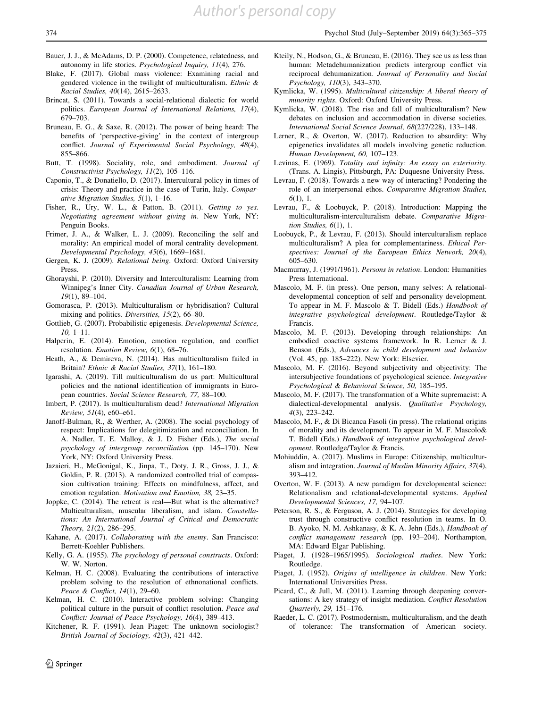- <span id="page-11-0"></span>Bauer, J. J., & McAdams, D. P. (2000). Competence, relatedness, and autonomy in life stories. Psychological Inquiry, 11(4), 276.
- Blake, F. (2017). Global mass violence: Examining racial and gendered violence in the twilight of multiculturalism. Ethnic & Racial Studies, 40(14), 2615–2633.
- Brincat, S. (2011). Towards a social-relational dialectic for world politics. European Journal of International Relations, 17(4), 679–703.
- Bruneau, E. G., & Saxe, R. (2012). The power of being heard: The benefits of 'perspective-giving' in the context of intergroup conflict. Journal of Experimental Social Psychology, 48(4), 855–866.
- Butt, T. (1998). Sociality, role, and embodiment. Journal of Constructivist Psychology, 11(2), 105–116.
- Caponio, T., & Donatiello, D. (2017). Intercultural policy in times of crisis: Theory and practice in the case of Turin, Italy. Comparative Migration Studies, 5(1), 1–16.
- Fisher, R., Ury, W. L., & Patton, B. (2011). Getting to yes. Negotiating agreement without giving in. New York, NY: Penguin Books.
- Frimer, J. A., & Walker, L. J. (2009). Reconciling the self and morality: An empirical model of moral centrality development. Developmental Psychology, 45(6), 1669–1681.
- Gergen, K. J. (2009). Relational being. Oxford: Oxford University Press.
- Ghorayshi, P. (2010). Diversity and Interculturalism: Learning from Winnipeg's Inner City. Canadian Journal of Urban Research, 19(1), 89–104.
- Gomorasca, P. (2013). Multiculturalism or hybridisation? Cultural mixing and politics. *Diversities*, 15(2), 66–80.
- Gottlieb, G. (2007). Probabilistic epigenesis. Developmental Science,  $10, 1-11.$
- Halperin, E. (2014). Emotion, emotion regulation, and conflict resolution. Emotion Review, 6(1), 68–76.
- Heath, A., & Demireva, N. (2014). Has multiculturalism failed in Britain? Ethnic & Racial Studies, 37(1), 161–180.
- Igarashi, A. (2019). Till multiculturalism do us part: Multicultural policies and the national identification of immigrants in European countries. Social Science Research, 77, 88–100.
- Imbert, P. (2017). Is multiculturalism dead? International Migration Review, 51(4), e60–e61.
- Janoff-Bulman, R., & Werther, A. (2008). The social psychology of respect: Implications for delegitimization and reconciliation. In A. Nadler, T. E. Malloy, & J. D. Fisher (Eds.), The social psychology of intergroup reconciliation (pp. 145–170). New York, NY: Oxford University Press.
- Jazaieri, H., McGonigal, K., Jinpa, T., Doty, J. R., Gross, J. J., & Goldin, P. R. (2013). A randomized controlled trial of compassion cultivation training: Effects on mindfulness, affect, and emotion regulation. Motivation and Emotion, 38, 23–35.
- Joppke, C. (2014). The retreat is real—But what is the alternative? Multiculturalism, muscular liberalism, and islam. Constellations: An International Journal of Critical and Democratic Theory, 21(2), 286–295.
- Kahane, A. (2017). Collaborating with the enemy. San Francisco: Berrett-Koehler Publishers.
- Kelly, G. A. (1955). The psychology of personal constructs. Oxford: W. W. Norton.
- Kelman, H. C. (2008). Evaluating the contributions of interactive problem solving to the resolution of ethnonational conflicts. Peace & Conflict, 14(1), 29–60.
- Kelman, H. C. (2010). Interactive problem solving: Changing political culture in the pursuit of conflict resolution. Peace and Conflict: Journal of Peace Psychology, 16(4), 389–413.
- Kitchener, R. F. (1991). Jean Piaget: The unknown sociologist? British Journal of Sociology, 42(3), 421–442.
- Kteily, N., Hodson, G., & Bruneau, E. (2016). They see us as less than human: Metadehumanization predicts intergroup conflict via reciprocal dehumanization. Journal of Personality and Social Psychology, 110(3), 343–370.
- Kymlicka, W. (1995). Multicultural citizenship: A liberal theory of minority rights. Oxford: Oxford University Press.
- Kymlicka, W. (2018). The rise and fall of multiculturalism? New debates on inclusion and accommodation in diverse societies. International Social Science Journal, 68(227/228), 133–148.
- Lerner, R., & Overton, W. (2017). Reduction to absurdity: Why epigenetics invalidates all models involving genetic reduction. Human Development, 60, 107–123.
- Levinas, E. (1969). Totality and infinity: An essay on exteriority. (Trans. A. Lingis), Pittsburgh, PA: Duquesne University Press.
- Levrau, F. (2018). Towards a new way of interacting? Pondering the role of an interpersonal ethos. Comparative Migration Studies, 6(1), 1.
- Levrau, F., & Loobuyck, P. (2018). Introduction: Mapping the multiculturalism-interculturalism debate. Comparative Migration Studies, 6(1), 1.
- Loobuyck, P., & Levrau, F. (2013). Should interculturalism replace multiculturalism? A plea for complementariness. Ethical Perspectives: Journal of the European Ethics Network, 20(4), 605–630.
- Macmurray, J. (1991/1961). Persons in relation. London: Humanities Press International.
- Mascolo, M. F. (in press). One person, many selves: A relationaldevelopmental conception of self and personality development. To appear in M. F. Mascolo & T. Bidell (Eds.) Handbook of integrative psychological development. Routledge/Taylor & Francis.
- Mascolo, M. F. (2013). Developing through relationships: An embodied coactive systems framework. In R. Lerner & J. Benson (Eds.), Advances in child development and behavior (Vol. 45, pp. 185–222). New York: Elsevier.
- Mascolo, M. F. (2016). Beyond subjectivity and objectivity: The intersubjective foundations of psychological science. Integrative Psychological & Behavioral Science, 50, 185–195.
- Mascolo, M. F. (2017). The transformation of a White supremacist: A dialectical-developmental analysis. Qualitative Psychology, 4(3), 223–242.
- Mascolo, M. F., & Di Bicanca Fasoli (in press). The relational origins of morality and its development. To appear in M. F. Mascolo& T. Bidell (Eds.) Handbook of integrative psychological development. Routledge/Taylor & Francis.
- Mohiuddin, A. (2017). Muslims in Europe: Citizenship, multiculturalism and integration. Journal of Muslim Minority Affairs, 37(4), 393–412.
- Overton, W. F. (2013). A new paradigm for developmental science: Relationalism and relational-developmental systems. Applied Developmental Sciences, 17, 94–107.
- Peterson, R. S., & Ferguson, A. J. (2014). Strategies for developing trust through constructive conflict resolution in teams. In O. B. Ayoko, N. M. Ashkanasy, & K. A. Jehn (Eds.), Handbook of conflict management research (pp. 193–204). Northampton, MA: Edward Elgar Publishing.
- Piaget, J. (1928–1965/1995). Sociological studies. New York: Routledge.
- Piaget, J. (1952). Origins of intelligence in children. New York: International Universities Press.
- Picard, C., & Jull, M. (2011). Learning through deepening conversations: A key strategy of insight mediation. Conflict Resolution Quarterly, 29, 151–176.
- Raeder, L. C. (2017). Postmodernism, multiculturalism, and the death of tolerance: The transformation of American society.